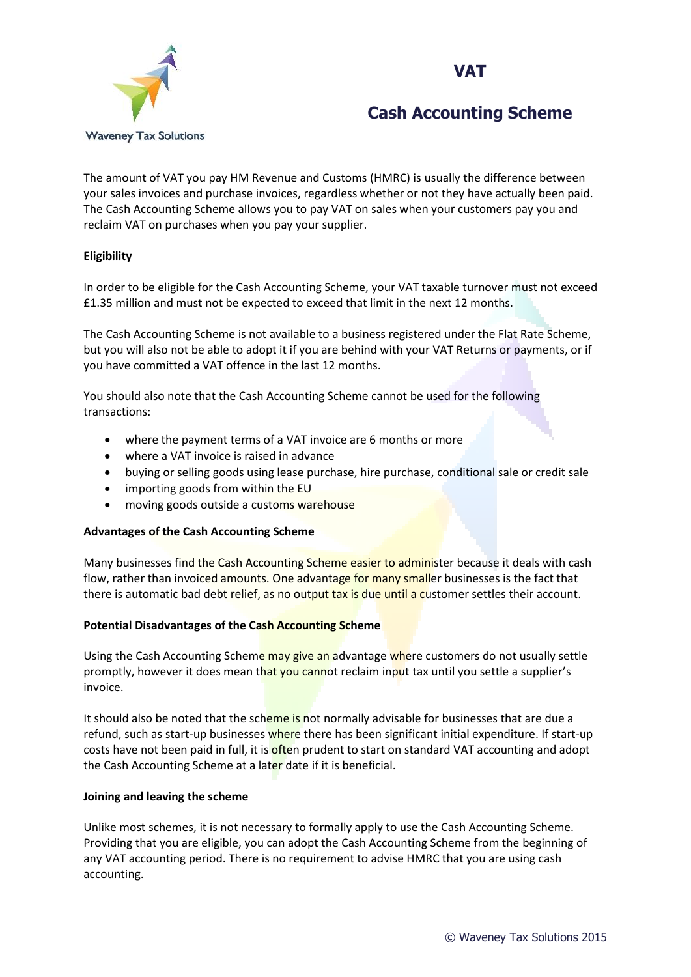### **VAT**



## **Cash Accounting Scheme**

The amount of VAT you pay HM Revenue and Customs (HMRC) is usually the difference between your sales invoices and purchase invoices, regardless whether or not they have actually been paid. The Cash Accounting Scheme allows you to pay VAT on sales when your customers pay you and reclaim VAT on purchases when you pay your supplier.

#### **Eligibility**

In order to be eligible for the Cash Accounting Scheme, your VAT taxable turnover must not exceed £1.35 million and must not be expected to exceed that limit in the next 12 months.

The Cash Accounting Scheme is not available to a business registered under the Flat Rate Scheme, but you will also not be able to adopt it if you are behind with your VAT Returns or payments, or if you have committed a VAT offence in the last 12 months.

You should also note that the Cash Accounting Scheme cannot be used for the following transactions:

- where the payment terms of a VAT invoice are 6 months or more
- where a VAT invoice is raised in advance
- buying or selling goods using lease purchase, hire purchase, conditional sale or credit sale
- importing goods from within the EU
- moving goods outside a customs warehouse

#### **Advantages of the Cash Accounting Scheme**

Many businesses find the Cash Accounting Scheme easier to administer because it deals with cash flow, rather than invoiced amounts. One advantage for many smaller businesses is the fact that there is automatic bad debt relief, as no output tax is due until a customer settles their account.

#### **Potential Disadvantages of the Cash Accounting Scheme**

Using the Cash Accounting Scheme may give an advantage where customers do not usually settle promptly, however it does mean that you cannot reclaim input tax until you settle a supplier's invoice.

It should also be noted that the scheme is not normally advisable for businesses that are due a refund, such as start-up businesses where there has been significant initial expenditure. If start-up costs have not been paid in full, it is often prudent to start on standard VAT accounting and adopt the Cash Accounting Scheme at a later date if it is beneficial.

#### **Joining and leaving the scheme**

Unlike most schemes, it is not necessary to formally apply to use the Cash Accounting Scheme. Providing that you are eligible, you can adopt the Cash Accounting Scheme from the beginning of any VAT accounting period. There is no requirement to advise HMRC that you are using cash accounting.